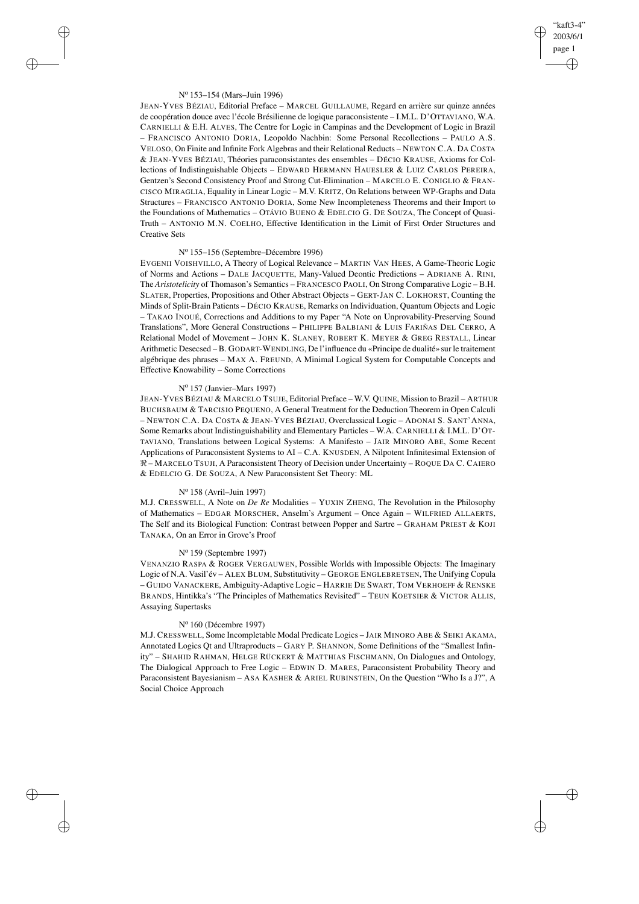# "kaft3-4" 2003/6/1 page 1 ✐ ✐

✐

✐

### N<sup>o</sup> 153–154 (Mars–Juin 1996)

 $\rightarrow$ 

 $\rightarrow$ 

✐

✐

JEAN-YVES BÉZIAU, Editorial Preface – MARCEL GUILLAUME, Regard en arrière sur quinze années de coopération douce avec l'école Brésilienne de logique paraconsistente – I.M.L. D'OTTAVIANO, W.A. CARNIELLI & E.H. ALVES, The Centre for Logic in Campinas and the Development of Logic in Brazil – FRANCISCO ANTONIO DORIA, Leopoldo Nachbin: Some Personal Recollections – PAULO A.S. VELOSO, On Finite and Infinite Fork Algebras and their Relational Reducts – NEWTON C.A. DA COSTA & JEAN-YVES BÉZIAU, Théories paraconsistantes des ensembles – DÉCIO KRAUSE, Axioms for Collections of Indistinguishable Objects – EDWARD HERMANN HAUESLER & LUIZ CARLOS PEREIRA, Gentzen's Second Consistency Proof and Strong Cut-Elimination – MARCELO E. CONIGLIO & FRAN-CISCO MIRAGLIA, Equality in Linear Logic – M.V. KRITZ, On Relations between WP-Graphs and Data Structures – FRANCISCO ANTONIO DORIA, Some New Incompleteness Theorems and their Import to the Foundations of Mathematics – OTÁVIO BUENO & EDELCIO G. DE SOUZA, The Concept of Quasi-Truth – ANTONIO M.N. COELHO, Effective Identification in the Limit of First Order Structures and Creative Sets

# N<sup>o</sup> 155–156 (Septembre–Décembre 1996)

EVGENII VOISHVILLO, A Theory of Logical Relevance – MARTIN VAN HEES, A Game-Theoric Logic of Norms and Actions – DALE JACQUETTE, Many-Valued Deontic Predictions – ADRIANE A. RINI, The *Aristotelicity* of Thomason's Semantics – FRANCESCO PAOLI, On Strong Comparative Logic – B.H. SLATER, Properties, Propositions and Other Abstract Objects – GERT-JAN C. LOKHORST, Counting the Minds of Split-Brain Patients – DÉCIO KRAUSE, Remarks on Individuation, Quantum Objects and Logic – TAKAO INOUÉ, Corrections and Additions to my Paper "A Note on Unprovability-Preserving Sound Translations", More General Constructions – PHILIPPE BALBIANI & LUIS FARIÑAS DEL CERRO, A Relational Model of Movement – JOHN K. SLANEY, ROBERT K. MEYER & GREG RESTALL, Linear Arithmetic Desecsed – B. GODART-WENDLING, De l'influence du «Principe de dualité» sur le traitement algébrique des phrases – MAX A. FREUND, A Minimal Logical System for Computable Concepts and Effective Knowability – Some Corrections

### N<sup>o</sup> 157 (Janvier–Mars 1997)

JEAN-YVES BÉZIAU & MARCELO TSUJE, Editorial Preface – W.V. QUINE, Mission to Brazil – ARTHUR BUCHSBAUM & TARCISIO PEQUENO, A General Treatment for the Deduction Theorem in Open Calculi – NEWTON C.A. DA COSTA & JEAN-YVES BÉZIAU, Overclassical Logic – ADONAI S. SANT'ANNA, Some Remarks about Indistinguishability and Elementary Particles – W.A. CARNIELLI & I.M.L. D'OT-TAVIANO, Translations between Logical Systems: A Manifesto – JAIR MINORO ABE, Some Recent Applications of Paraconsistent Systems to AI - C.A. KNUSDEN, A Nilpotent Infinitesimal Extension of  $\Re$  – MARCELO TSUJI, A Paraconsistent Theory of Decision under Uncertainty – ROQUE DA C. CAIERO & EDELCIO G. DE SOUZA, A New Paraconsistent Set Theory: ML

#### N<sup>o</sup> 158 (Avril–Juin 1997)

M.J. CRESSWELL, A Note on *De Re* Modalities – YUXIN ZHENG, The Revolution in the Philosophy of Mathematics – EDGAR MORSCHER, Anselm's Argument – Once Again – WILFRIED ALLAERTS, The Self and its Biological Function: Contrast between Popper and Sartre – GRAHAM PRIEST & KOJI TANAKA, On an Error in Grove's Proof

## N<sup>o</sup> 159 (Septembre 1997)

VENANZIO RASPA & ROGER VERGAUWEN, Possible Worlds with Impossible Objects: The Imaginary Logic of N.A. Vasil'év – ALEX BLUM, Substitutivity – GEORGE ENGLEBRETSEN, The Unifying Copula – GUIDO VANACKERE, Ambiguity-Adaptive Logic – HARRIE DE SWART, TOM VERHOEFF & RENSKE BRANDS, Hintikka's "The Principles of Mathematics Revisited" – TEUN KOETSIER & VICTOR ALLIS, Assaying Supertasks

#### N<sup>o</sup> 160 (Décembre 1997)

M.J. CRESSWELL, Some Incompletable Modal Predicate Logics – JAIR MINORO ABE & SEIKI AKAMA, Annotated Logics Qt and Ultraproducts – GARY P. SHANNON, Some Definitions of the "Smallest Infinity" – SHAHID RAHMAN, HELGE RÜCKERT & MATTHIAS FISCHMANN, On Dialogues and Ontology, The Dialogical Approach to Free Logic – EDWIN D. MARES, Paraconsistent Probability Theory and Paraconsistent Bayesianism – ASA KASHER & ARIEL RUBINSTEIN, On the Question "Who Is a J?", A Social Choice Approach